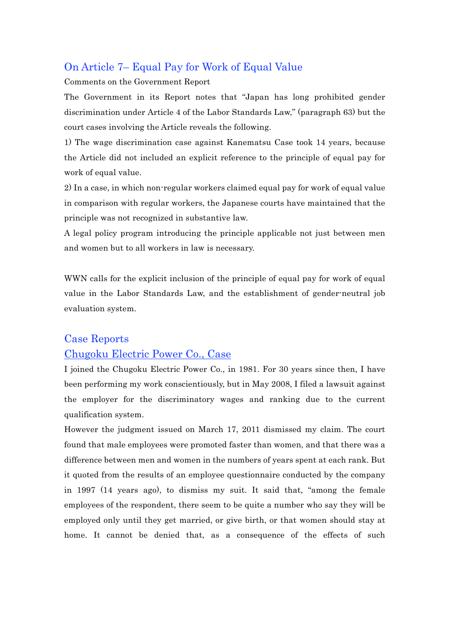# On Article 7– Equal Pay for Work of Equal Value

Comments on the Government Report

The Government in its Report notes that "Japan has long prohibited gender discrimination under Article 4 of the Labor Standards Law," (paragraph 63) but the court cases involving the Article reveals the following.

1) The wage discrimination case against Kanematsu Case took 14 years, because the Article did not included an explicit reference to the principle of equal pay for work of equal value.

2) In a case, in which non-regular workers claimed equal pay for work of equal value in comparison with regular workers, the Japanese courts have maintained that the principle was not recognized in substantive law.

A legal policy program introducing the principle applicable not just between men and women but to all workers in law is necessary.

WWN calls for the explicit inclusion of the principle of equal pay for work of equal value in the Labor Standards Law, and the establishment of gender-neutral job evaluation system.

# Case Reports

## Chugoku Electric Power Co., Case

I joined the Chugoku Electric Power Co., in 1981. For 30 years since then, I have been performing my work conscientiously, but in May 2008, I filed a lawsuit against the employer for the discriminatory wages and ranking due to the current qualification system.

However the judgment issued on March 17, 2011 dismissed my claim. The court found that male employees were promoted faster than women, and that there was a difference between men and women in the numbers of years spent at each rank. But it quoted from the results of an employee questionnaire conducted by the company in 1997 (14 years ago), to dismiss my suit. It said that, "among the female employees of the respondent, there seem to be quite a number who say they will be employed only until they get married, or give birth, or that women should stay at home. It cannot be denied that, as a consequence of the effects of such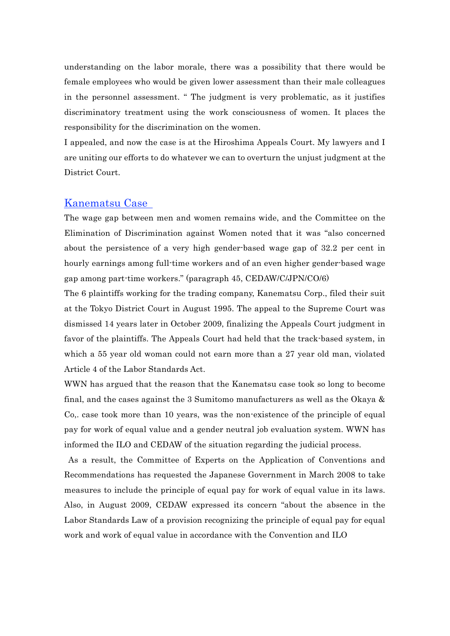understanding on the labor morale, there was a possibility that there would be female employees who would be given lower assessment than their male colleagues in the personnel assessment. " The judgment is very problematic, as it justifies discriminatory treatment using the work consciousness of women. It places the responsibility for the discrimination on the women.

I appealed, and now the case is at the Hiroshima Appeals Court. My lawyers and I are uniting our efforts to do whatever we can to overturn the unjust judgment at the District Court.

#### Kanematsu Case

The wage gap between men and women remains wide, and the Committee on the Elimination of Discrimination against Women noted that it was "also concerned about the persistence of a very high gender-based wage gap of 32.2 per cent in hourly earnings among full-time workers and of an even higher gender-based wage gap among part-time workers." (paragraph 45, CEDAW/C/JPN/CO/6)

The 6 plaintiffs working for the trading company, Kanematsu Corp., filed their suit at the Tokyo District Court in August 1995. The appeal to the Supreme Court was dismissed 14 years later in October 2009, finalizing the Appeals Court judgment in favor of the plaintiffs. The Appeals Court had held that the track-based system, in which a 55 year old woman could not earn more than a 27 year old man, violated Article 4 of the Labor Standards Act.

WWN has argued that the reason that the Kanematsu case took so long to become final, and the cases against the 3 Sumitomo manufacturers as well as the Okaya & Co,. case took more than 10 years, was the non-existence of the principle of equal pay for work of equal value and a gender neutral job evaluation system. WWN has informed the ILO and CEDAW of the situation regarding the judicial process.

 As a result, the Committee of Experts on the Application of Conventions and Recommendations has requested the Japanese Government in March 2008 to take measures to include the principle of equal pay for work of equal value in its laws. Also, in August 2009, CEDAW expressed its concern "about the absence in the Labor Standards Law of a provision recognizing the principle of equal pay for equal work and work of equal value in accordance with the Convention and ILO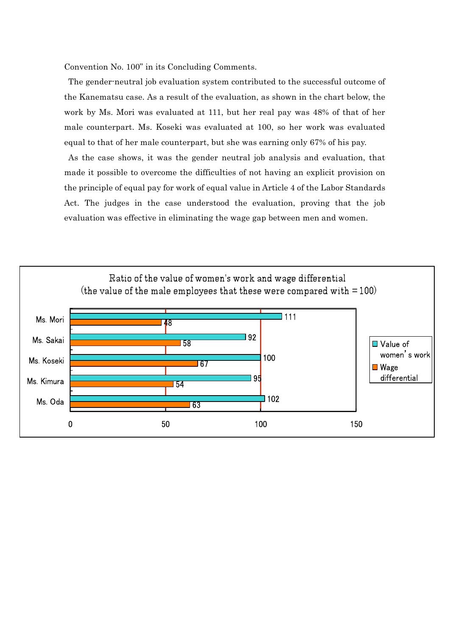Convention No. 100" in its Concluding Comments.

 The gender-neutral job evaluation system contributed to the successful outcome of the Kanematsu case. As a result of the evaluation, as shown in the chart below, the work by Ms. Mori was evaluated at 111, but her real pay was 48% of that of her male counterpart. Ms. Koseki was evaluated at 100, so her work was evaluated equal to that of her male counterpart, but she was earning only 67% of his pay. As the case shows, it was the gender neutral job analysis and evaluation, that made it possible to overcome the difficulties of not having an explicit provision on

the principle of equal pay for work of equal value in Article 4 of the Labor Standards Act. The judges in the case understood the evaluation, proving that the job evaluation was effective in eliminating the wage gap between men and women.